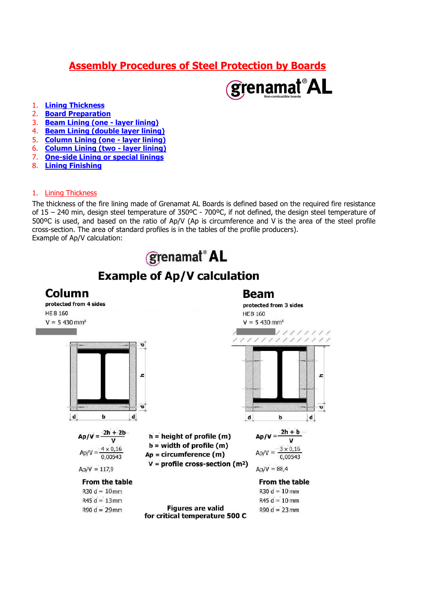# Assembly Procedures of Steel Protection by Boards



- 1. **Lining Thickness**
- 2. Board Preparation
- 3. Beam Lining (one layer lining)
- 4. **Beam Lining (double layer lining)**<br>5. **Column Lining (one layer lining)**
- **Column Lining (one layer lining)**
- 6. Column Lining (two layer lining)
- 7. One-side Lining or special linings
- 8. Lining Finishing

#### 1. Lining Thickness

The thickness of the fire lining made of Grenamat AL Boards is defined based on the required fire resistance of 15 – 240 min, design steel temperature of 350ºC - 700ºC, if not defined, the design steel temperature of 500ºC is used, and based on the ratio of Ap/V (Ap is circumference and V is the area of the steel profile cross-section. The area of standard profiles is in the tables of the profile producers). Example of Ap/V calculation:

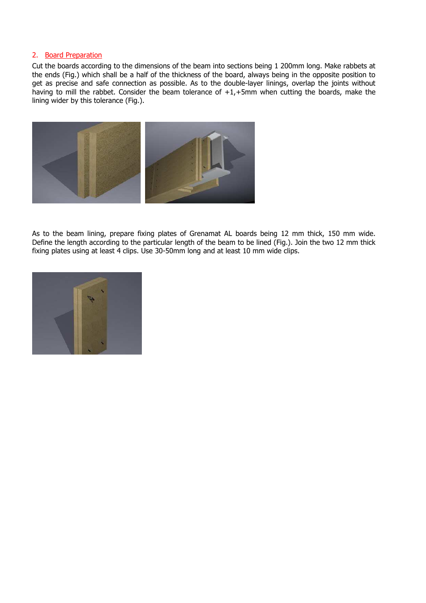#### 2. Board Preparation

Cut the boards according to the dimensions of the beam into sections being 1 200mm long. Make rabbets at the ends (Fig.) which shall be a half of the thickness of the board, always being in the opposite position to get as precise and safe connection as possible. As to the double-layer linings, overlap the joints without having to mill the rabbet. Consider the beam tolerance of +1,+5mm when cutting the boards, make the lining wider by this tolerance (Fig.).



As to the beam lining, prepare fixing plates of Grenamat AL boards being 12 mm thick, 150 mm wide. Define the length according to the particular length of the beam to be lined (Fig.). Join the two 12 mm thick fixing plates using at least 4 clips. Use 30-50mm long and at least 10 mm wide clips.

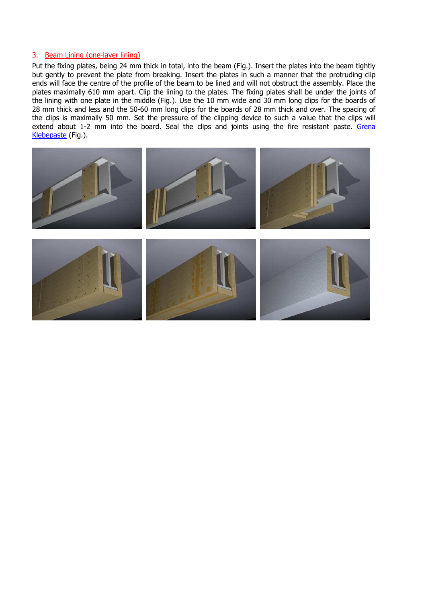#### 3. Beam Lining (one-layer lining)

Put the fixing plates, being 24 mm thick in total, into the beam (Fig.). Insert the plates into the beam tightly but gently to prevent the plate from breaking. Insert the plates in such a manner that the protruding clip ends will face the centre of the profile of the beam to be lined and will not obstruct the assembly. Place the plates maximally 610 mm apart. Clip the lining to the plates. The fixing plates shall be under the joints of the lining with one plate in the middle (Fig.). Use the 10 mm wide and 30 mm long clips for the boards of 28 mm thick and less and the 50-60 mm long clips for the boards of 28 mm thick and over. The spacing of the clips is maximally 50 mm. Set the pressure of the clipping device to such a value that the clips will extend about 1-2 mm into the board. Seal the clips and joints using the fire resistant paste. Grena Klebepaste (Fig.).

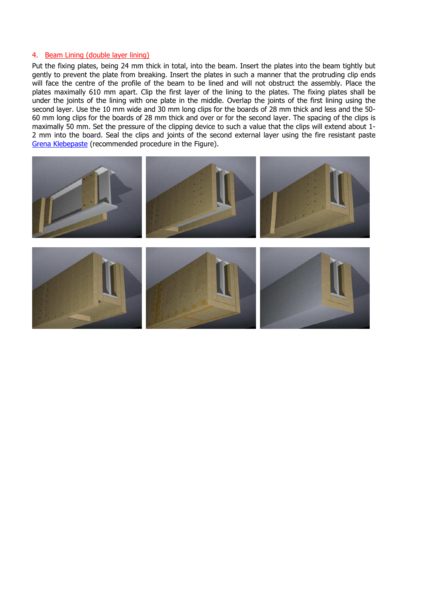#### 4. Beam Lining (double layer lining)

Put the fixing plates, being 24 mm thick in total, into the beam. Insert the plates into the beam tightly but gently to prevent the plate from breaking. Insert the plates in such a manner that the protruding clip ends will face the centre of the profile of the beam to be lined and will not obstruct the assembly. Place the plates maximally 610 mm apart. Clip the first layer of the lining to the plates. The fixing plates shall be under the joints of the lining with one plate in the middle. Overlap the joints of the first lining using the second layer. Use the 10 mm wide and 30 mm long clips for the boards of 28 mm thick and less and the 50-60 mm long clips for the boards of 28 mm thick and over or for the second layer. The spacing of the clips is maximally 50 mm. Set the pressure of the clipping device to such a value that the clips will extend about 1- 2 mm into the board. Seal the clips and joints of the second external layer using the fire resistant paste Grena Klebepaste (recommended procedure in the Figure).

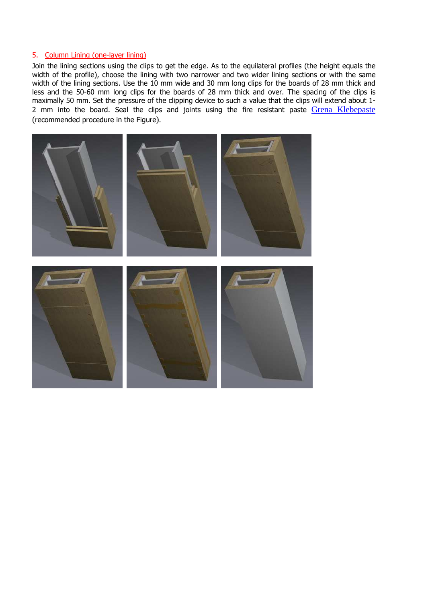## 5. Column Lining (one-layer lining)

Join the lining sections using the clips to get the edge. As to the equilateral profiles (the height equals the width of the profile), choose the lining with two narrower and two wider lining sections or with the same width of the lining sections. Use the 10 mm wide and 30 mm long clips for the boards of 28 mm thick and less and the 50-60 mm long clips for the boards of 28 mm thick and over. The spacing of the clips is maximally 50 mm. Set the pressure of the clipping device to such a value that the clips will extend about 1- 2 mm into the board. Seal the clips and joints using the fire resistant paste Grena Klebepaste (recommended procedure in the Figure).

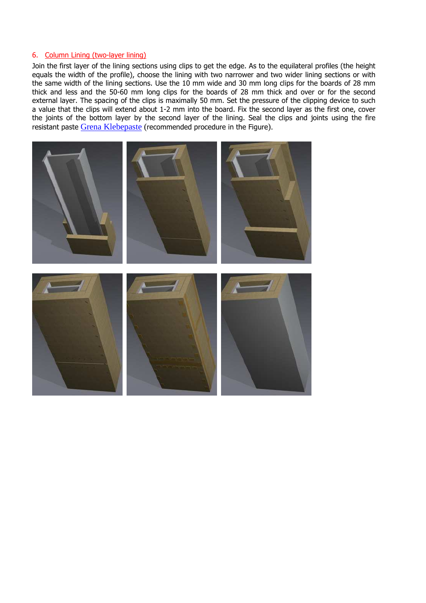#### 6. Column Lining (two-layer lining)

Join the first layer of the lining sections using clips to get the edge. As to the equilateral profiles (the height equals the width of the profile), choose the lining with two narrower and two wider lining sections or with the same width of the lining sections. Use the 10 mm wide and 30 mm long clips for the boards of 28 mm thick and less and the 50-60 mm long clips for the boards of 28 mm thick and over or for the second external layer. The spacing of the clips is maximally 50 mm. Set the pressure of the clipping device to such a value that the clips will extend about 1-2 mm into the board. Fix the second layer as the first one, cover the joints of the bottom layer by the second layer of the lining. Seal the clips and joints using the fire resistant paste Grena Klebepaste (recommended procedure in the Figure).

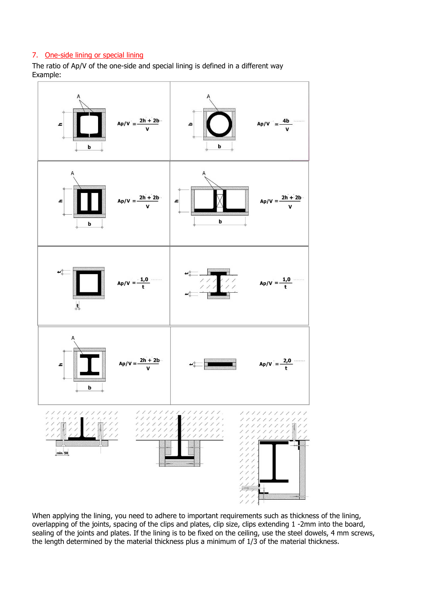# 7. One-side lining or special lining

The ratio of Ap/V of the one-side and special lining is defined in a different way Example:



When applying the lining, you need to adhere to important requirements such as thickness of the lining, overlapping of the joints, spacing of the clips and plates, clip size, clips extending 1 -2mm into the board, sealing of the joints and plates. If the lining is to be fixed on the ceiling, use the steel dowels, 4 mm screws, the length determined by the material thickness plus a minimum of 1/3 of the material thickness.